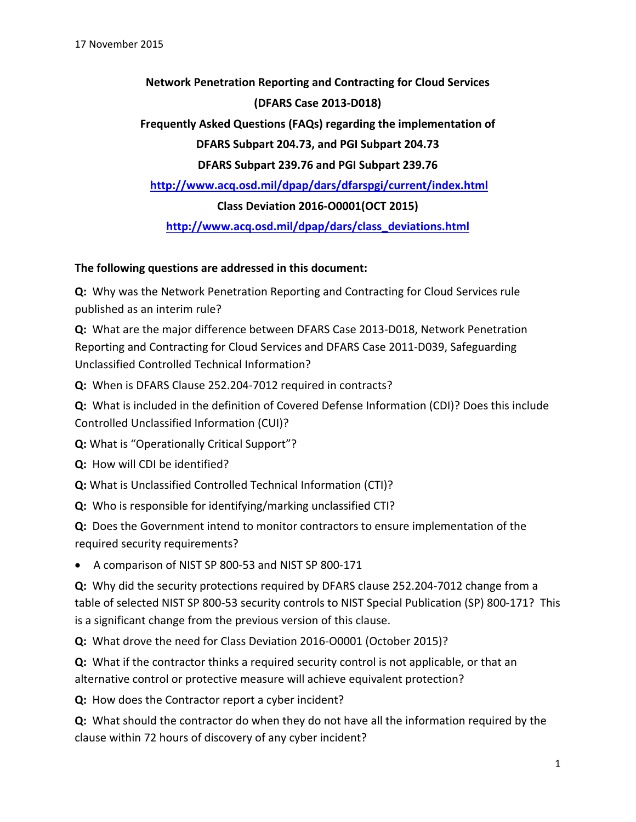**Network Penetration Reporting and Contracting for Cloud Services (DFARS Case 2013‐D018)**

 **Frequently Asked Questions (FAQs) regarding the implementation of DFARS Subpart 204.73, and PGI Subpart 204.73**

**DFARS Subpart 239.76 and PGI Subpart 239.76** 

**http://www.acq.osd.mil/dpap/dars/dfarspgi/current/index.html**

**Class Deviation 2016‐O0001(OCT 2015)**

**http://www.acq.osd.mil/dpap/dars/class\_deviations.html** 

#### **The following questions are addressed in this document:**

**Q:** Why was the Network Penetration Reporting and Contracting for Cloud Services rule published as an interim rule?

**Q:** What are the major difference between DFARS Case 2013‐D018, Network Penetration Reporting and Contracting for Cloud Services and DFARS Case 2011‐D039, Safeguarding Unclassified Controlled Technical Information?

**Q:** When is DFARS Clause 252.204‐7012 required in contracts?

**Q:** What is included in the definition of Covered Defense Information (CDI)? Does this include Controlled Unclassified Information (CUI)?

**Q:** What is "Operationally Critical Support"?

**Q:** How will CDI be identified?

**Q:** What is Unclassified Controlled Technical Information (CTI)?

**Q:** Who is responsible for identifying/marking unclassified CTI?

**Q:** Does the Government intend to monitor contractors to ensure implementation of the required security requirements?

● A comparison of NIST SP 800-53 and NIST SP 800-171

**Q:** Why did the security protections required by DFARS clause 252.204‐7012 change from a table of selected NIST SP 800‐53 security controls to NIST Special Publication (SP) 800‐171? This is a significant change from the previous version of this clause.

**Q:** What drove the need for Class Deviation 2016‐O0001 (October 2015)?

**Q:** What if the contractor thinks a required security control is not applicable, or that an alternative control or protective measure will achieve equivalent protection?

**Q:** How does the Contractor report a cyber incident?

**Q:** What should the contractor do when they do not have all the information required by the clause within 72 hours of discovery of any cyber incident?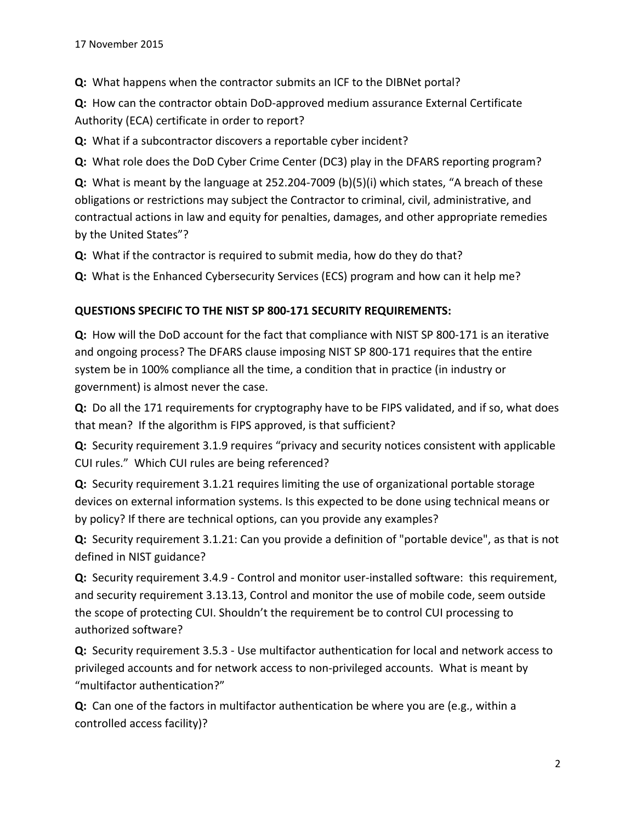**Q:** What happens when the contractor submits an ICF to the DIBNet portal?

**Q:** How can the contractor obtain DoD‐approved medium assurance External Certificate Authority (ECA) certificate in order to report?

**Q:** What if a subcontractor discovers a reportable cyber incident?

**Q:** What role does the DoD Cyber Crime Center (DC3) play in the DFARS reporting program?

**Q:** What is meant by the language at 252.204‐7009 (b)(5)(i) which states, "A breach of these obligations or restrictions may subject the Contractor to criminal, civil, administrative, and contractual actions in law and equity for penalties, damages, and other appropriate remedies by the United States"?

**Q:** What if the contractor is required to submit media, how do they do that?

**Q:** What is the Enhanced Cybersecurity Services (ECS) program and how can it help me?

#### **QUESTIONS SPECIFIC TO THE NIST SP 800‐171 SECURITY REQUIREMENTS:**

**Q:** How will the DoD account for the fact that compliance with NIST SP 800-171 is an iterative and ongoing process? The DFARS clause imposing NIST SP 800‐171 requires that the entire system be in 100% compliance all the time, a condition that in practice (in industry or government) is almost never the case.

**Q:** Do all the 171 requirements for cryptography have to be FIPS validated, and if so, what does that mean? If the algorithm is FIPS approved, is that sufficient?

**Q:** Security requirement 3.1.9 requires "privacy and security notices consistent with applicable CUI rules." Which CUI rules are being referenced?

**Q:** Security requirement 3.1.21 requires limiting the use of organizational portable storage devices on external information systems. Is this expected to be done using technical means or by policy? If there are technical options, can you provide any examples?

**Q:** Security requirement 3.1.21: Can you provide a definition of "portable device", as that is not defined in NIST guidance?

**Q:** Security requirement 3.4.9 - Control and monitor user-installed software: this requirement, and security requirement 3.13.13, Control and monitor the use of mobile code, seem outside the scope of protecting CUI. Shouldn't the requirement be to control CUI processing to authorized software?

**Q:** Security requirement 3.5.3 - Use multifactor authentication for local and network access to privileged accounts and for network access to non‐privileged accounts. What is meant by "multifactor authentication?"

**Q:** Can one of the factors in multifactor authentication be where you are (e.g., within a controlled access facility)?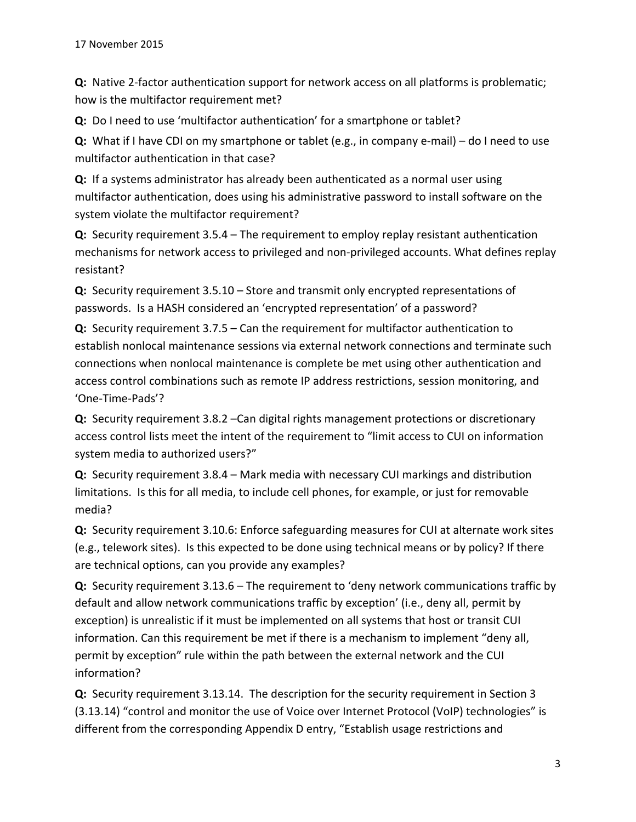**Q:** Native 2-factor authentication support for network access on all platforms is problematic; how is the multifactor requirement met?

**Q:** Do I need to use 'multifactor authentication' for a smartphone or tablet?

**Q:** What if I have CDI on my smartphone or tablet (e.g., in company e-mail) – do I need to use multifactor authentication in that case?

**Q:** If a systems administrator has already been authenticated as a normal user using multifactor authentication, does using his administrative password to install software on the system violate the multifactor requirement?

**Q:** Security requirement 3.5.4 – The requirement to employ replay resistant authentication mechanisms for network access to privileged and non‐privileged accounts. What defines replay resistant?

**Q:** Security requirement 3.5.10 – Store and transmit only encrypted representations of passwords. Is a HASH considered an 'encrypted representation' of a password?

**Q:** Security requirement 3.7.5 – Can the requirement for multifactor authentication to establish nonlocal maintenance sessions via external network connections and terminate such connections when nonlocal maintenance is complete be met using other authentication and access control combinations such as remote IP address restrictions, session monitoring, and 'One‐Time‐Pads'?

**Q:** Security requirement 3.8.2 –Can digital rights management protections or discretionary access control lists meet the intent of the requirement to "limit access to CUI on information system media to authorized users?"

**Q:** Security requirement 3.8.4 – Mark media with necessary CUI markings and distribution limitations. Is this for all media, to include cell phones, for example, or just for removable media?

**Q:** Security requirement 3.10.6: Enforce safeguarding measures for CUI at alternate work sites (e.g., telework sites). Is this expected to be done using technical means or by policy? If there are technical options, can you provide any examples?

**Q:** Security requirement 3.13.6 – The requirement to 'deny network communications traffic by default and allow network communications traffic by exception' (i.e., deny all, permit by exception) is unrealistic if it must be implemented on all systems that host or transit CUI information. Can this requirement be met if there is a mechanism to implement "deny all, permit by exception" rule within the path between the external network and the CUI information?

**Q:** Security requirement 3.13.14. The description for the security requirement in Section 3 (3.13.14) "control and monitor the use of Voice over Internet Protocol (VoIP) technologies" is different from the corresponding Appendix D entry, "Establish usage restrictions and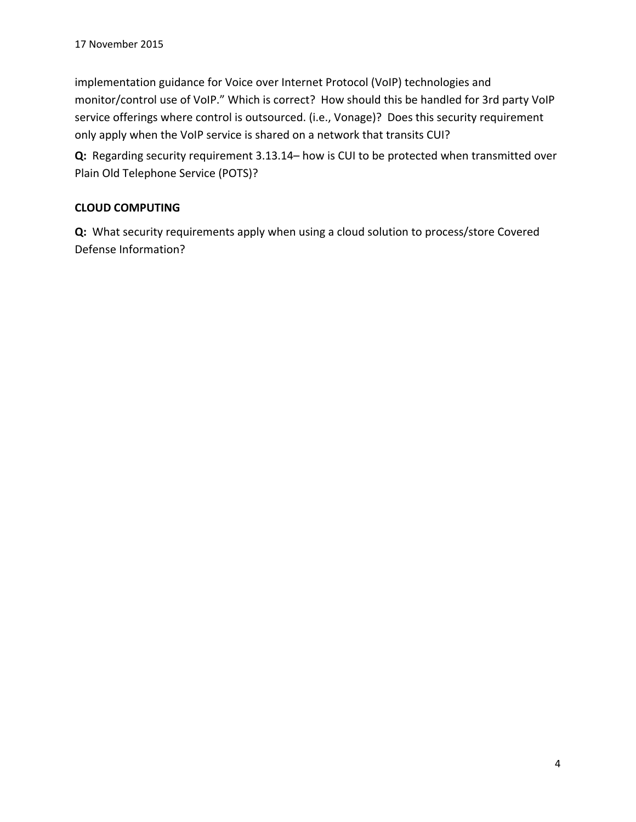implementation guidance for Voice over Internet Protocol (VoIP) technologies and monitor/control use of VoIP." Which is correct? How should this be handled for 3rd party VoIP service offerings where control is outsourced. (i.e., Vonage)? Does this security requirement only apply when the VoIP service is shared on a network that transits CUI?

Q: Regarding security requirement 3.13.14– how is CUI to be protected when transmitted over Plain Old Telephone Service (POTS)?

### **CLOUD COMPUTING**

**Q:** What security requirements apply when using a cloud solution to process/store Covered Defense Information?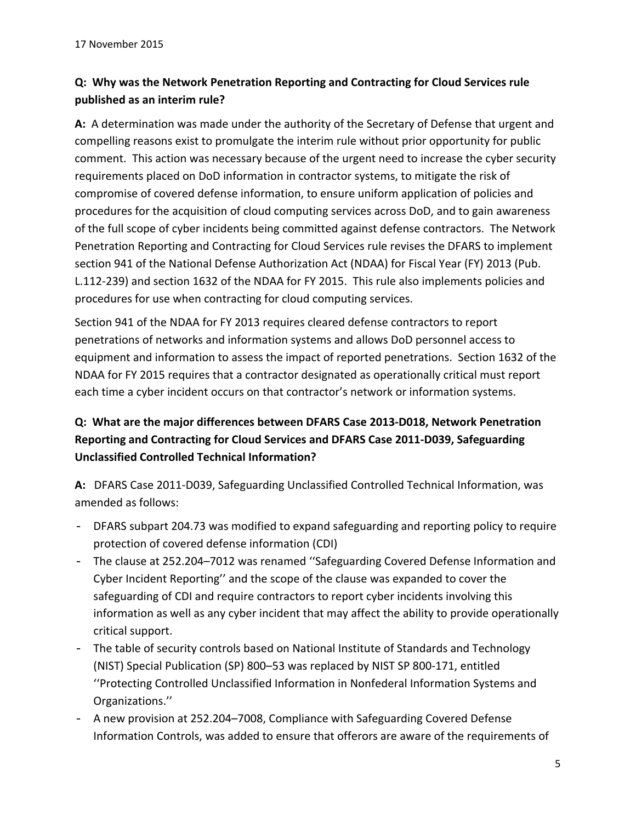# **Q: Why was the Network Penetration Reporting and Contracting for Cloud Services rule published as an interim rule?**

**A:** A determination was made under the authority of the Secretary of Defense that urgent and compelling reasons exist to promulgate the interim rule without prior opportunity for public comment. This action was necessary because of the urgent need to increase the cyber security requirements placed on DoD information in contractor systems, to mitigate the risk of compromise of covered defense information, to ensure uniform application of policies and procedures for the acquisition of cloud computing services across DoD, and to gain awareness of the full scope of cyber incidents being committed against defense contractors. The Network Penetration Reporting and Contracting for Cloud Services rule revises the DFARS to implement section 941 of the National Defense Authorization Act (NDAA) for Fiscal Year (FY) 2013 (Pub. L.112‐239) and section 1632 of the NDAA for FY 2015. This rule also implements policies and procedures for use when contracting for cloud computing services.

Section 941 of the NDAA for FY 2013 requires cleared defense contractors to report penetrations of networks and information systems and allows DoD personnel access to equipment and information to assess the impact of reported penetrations. Section 1632 of the NDAA for FY 2015 requires that a contractor designated as operationally critical must report each time a cyber incident occurs on that contractor's network or information systems.

# **Q: What are the major differences between DFARS Case 2013‐D018, Network Penetration Reporting and Contracting for Cloud Services and DFARS Case 2011‐D039, Safeguarding Unclassified Controlled Technical Information?**

**A:** DFARS Case 2011‐D039, Safeguarding Unclassified Controlled Technical Information, was amended as follows:

- DFARS subpart 204.73 was modified to expand safeguarding and reporting policy to require protection of covered defense information (CDI)
- The clause at 252.204–7012 was renamed ''Safeguarding Covered Defense Information and Cyber Incident Reporting'' and the scope of the clause was expanded to cover the safeguarding of CDI and require contractors to report cyber incidents involving this information as well as any cyber incident that may affect the ability to provide operationally critical support.
- The table of security controls based on National Institute of Standards and Technology (NIST) Special Publication (SP) 800–53 was replaced by NIST SP 800‐171, entitled ''Protecting Controlled Unclassified Information in Nonfederal Information Systems and Organizations.''
- A new provision at 252.204–7008, Compliance with Safeguarding Covered Defense Information Controls, was added to ensure that offerors are aware of the requirements of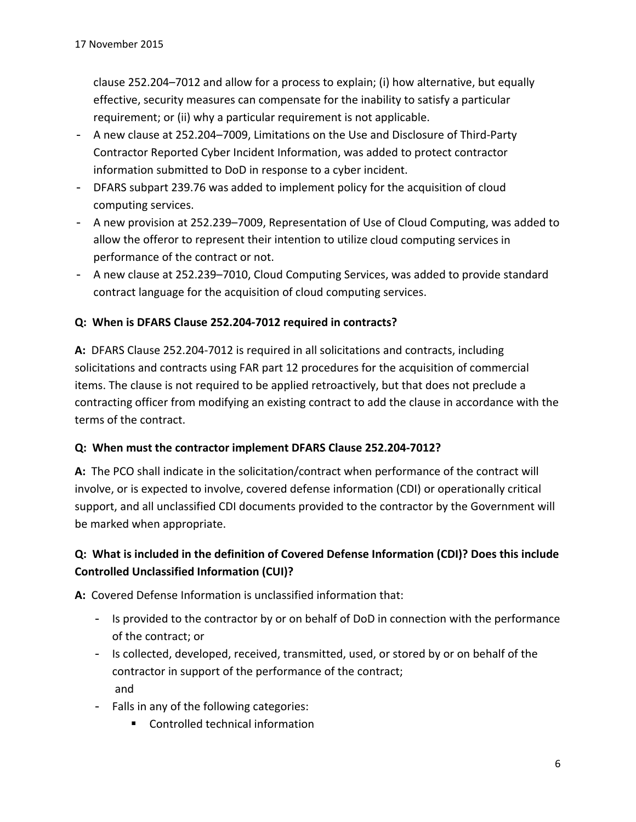clause 252.204–7012 and allow for a process to explain; (i) how alternative, but equally effective, security measures can compensate for the inability to satisfy a particular requirement; or (ii) why a particular requirement is not applicable.

- A new clause at 252.204–7009, Limitations on the Use and Disclosure of Third‐Party Contractor Reported Cyber Incident Information, was added to protect contractor information submitted to DoD in response to a cyber incident.
- DFARS subpart 239.76 was added to implement policy for the acquisition of cloud computing services.
- A new provision at 252.239–7009, Representation of Use of Cloud Computing, was added to allow the offeror to represent their intention to utilize cloud computing services in performance of the contract or not.
- A new clause at 252.239–7010, Cloud Computing Services, was added to provide standard contract language for the acquisition of cloud computing services.

### **Q: When is DFARS Clause 252.204‐7012 required in contracts?**

**A:** DFARS Clause 252.204‐7012 is required in all solicitations and contracts, including solicitations and contracts using FAR part 12 procedures for the acquisition of commercial items. The clause is not required to be applied retroactively, but that does not preclude a contracting officer from modifying an existing contract to add the clause in accordance with the terms of the contract.

#### **Q: When must the contractor implement DFARS Clause 252.204‐7012?**

**A:** The PCO shall indicate in the solicitation/contract when performance of the contract will involve, or is expected to involve, covered defense information (CDI) or operationally critical support, and all unclassified CDI documents provided to the contractor by the Government will be marked when appropriate.

### **Q: What is included in the definition of Covered Defense Information (CDI)? Does this include Controlled Unclassified Information (CUI)?**

A: Covered Defense Information is unclassified information that:

- Is provided to the contractor by or on behalf of DoD in connection with the performance of the contract; or
- Is collected, developed, received, transmitted, used, or stored by or on behalf of the contractor in support of the performance of the contract; and
- Falls in any of the following categories:
	- Controlled technical information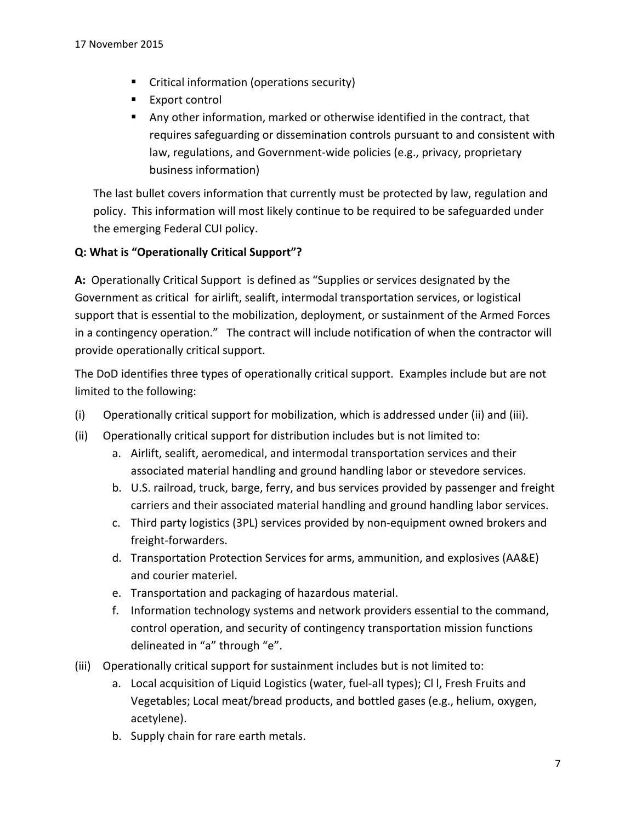- **EXECR** Critical information (operations security)
- Export control
- Any other information, marked or otherwise identified in the contract, that requires safeguarding or dissemination controls pursuant to and consistent with law, regulations, and Government‐wide policies (e.g., privacy, proprietary business information)

The last bullet covers information that currently must be protected by law, regulation and policy. This information will most likely continue to be required to be safeguarded under the emerging Federal CUI policy.

#### **Q: What is "Operationally Critical Support"?**

**A:** Operationally Critical Support is defined as "Supplies or services designated by the Government as critical for airlift, sealift, intermodal transportation services, or logistical support that is essential to the mobilization, deployment, or sustainment of the Armed Forces in a contingency operation." The contract will include notification of when the contractor will provide operationally critical support.

The DoD identifies three types of operationally critical support. Examples include but are not limited to the following:

- (i) Operationally critical support for mobilization, which is addressed under (ii) and (iii).
- (ii) Operationally critical support for distribution includes but is not limited to:
	- a. Airlift, sealift, aeromedical, and intermodal transportation services and their associated material handling and ground handling labor or stevedore services.
	- b. U.S. railroad, truck, barge, ferry, and bus services provided by passenger and freight carriers and their associated material handling and ground handling labor services.
	- c. Third party logistics (3PL) services provided by non‐equipment owned brokers and freight‐forwarders.
	- d. Transportation Protection Services for arms, ammunition, and explosives (AA&E) and courier materiel.
	- e. Transportation and packaging of hazardous material.
	- f. Information technology systems and network providers essential to the command, control operation, and security of contingency transportation mission functions delineated in "a" through "e".
- (iii) Operationally critical support for sustainment includes but is not limited to:
	- a. Local acquisition of Liquid Logistics (water, fuel‐all types); Cl l, Fresh Fruits and Vegetables; Local meat/bread products, and bottled gases (e.g., helium, oxygen, acetylene).
	- b. Supply chain for rare earth metals.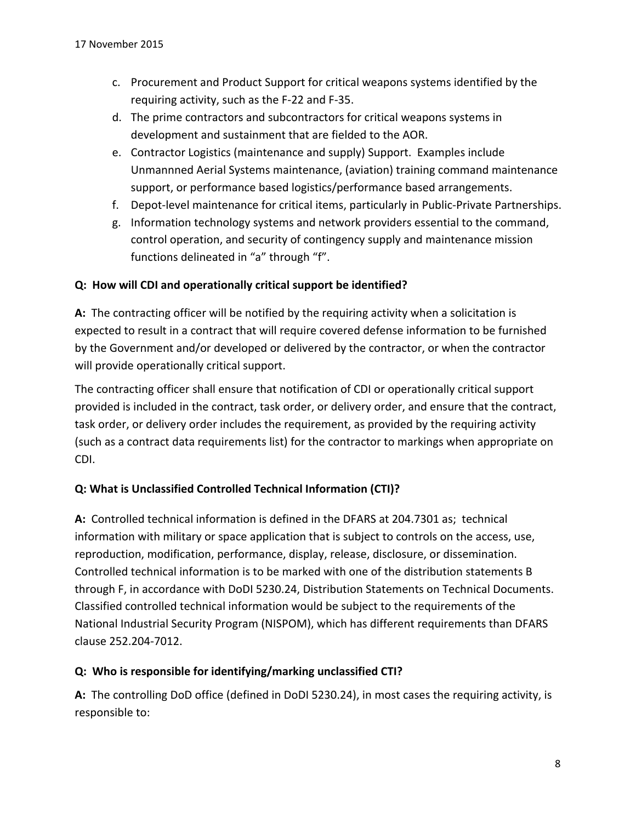- c. Procurement and Product Support for critical weapons systems identified by the requiring activity, such as the F‐22 and F‐35.
- d. The prime contractors and subcontractors for critical weapons systems in development and sustainment that are fielded to the AOR.
- e. Contractor Logistics (maintenance and supply) Support. Examples include Unmannned Aerial Systems maintenance, (aviation) training command maintenance support, or performance based logistics/performance based arrangements.
- f. Depot-level maintenance for critical items, particularly in Public-Private Partnerships.
- g. Information technology systems and network providers essential to the command, control operation, and security of contingency supply and maintenance mission functions delineated in "a" through "f".

#### **Q: How will CDI and operationally critical support be identified?**

A: The contracting officer will be notified by the requiring activity when a solicitation is expected to result in a contract that will require covered defense information to be furnished by the Government and/or developed or delivered by the contractor, or when the contractor will provide operationally critical support.

The contracting officer shall ensure that notification of CDI or operationally critical support provided is included in the contract, task order, or delivery order, and ensure that the contract, task order, or delivery order includes the requirement, as provided by the requiring activity (such as a contract data requirements list) for the contractor to markings when appropriate on CDI.

### **Q: What is Unclassified Controlled Technical Information (CTI)?**

A: Controlled technical information is defined in the DFARS at 204.7301 as; technical information with military or space application that is subject to controls on the access, use, reproduction, modification, performance, display, release, disclosure, or dissemination. Controlled technical information is to be marked with one of the distribution statements B through F, in accordance with DoDI 5230.24, Distribution Statements on Technical Documents. Classified controlled technical information would be subject to the requirements of the National Industrial Security Program (NISPOM), which has different requirements than DFARS clause 252.204‐7012.

#### **Q: Who is responsible for identifying/marking unclassified CTI?**

**A:** The controlling DoD office (defined in DoDI 5230.24), in most cases the requiring activity, is responsible to: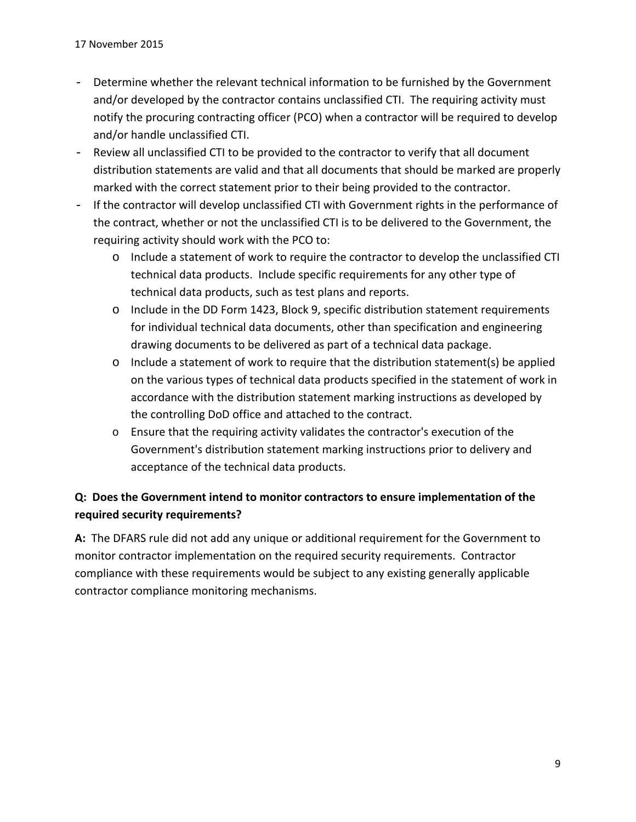- Determine whether the relevant technical information to be furnished by the Government and/or developed by the contractor contains unclassified CTI. The requiring activity must notify the procuring contracting officer (PCO) when a contractor will be required to develop and/or handle unclassified CTI.
- Review all unclassified CTI to be provided to the contractor to verify that all document distribution statements are valid and that all documents that should be marked are properly marked with the correct statement prior to their being provided to the contractor.
- If the contractor will develop unclassified CTI with Government rights in the performance of the contract, whether or not the unclassified CTI is to be delivered to the Government, the requiring activity should work with the PCO to:
	- o Include a statement of work to require the contractor to develop the unclassified CTI technical data products. Include specific requirements for any other type of technical data products, such as test plans and reports.
	- o Include in the DD Form 1423, Block 9, specific distribution statement requirements for individual technical data documents, other than specification and engineering drawing documents to be delivered as part of a technical data package.
	- o Include a statement of work to require that the distribution statement(s) be applied on the various types of technical data products specified in the statement of work in accordance with the distribution statement marking instructions as developed by the controlling DoD office and attached to the contract.
	- o Ensure that the requiring activity validates the contractor's execution of the Government's distribution statement marking instructions prior to delivery and acceptance of the technical data products.

## **Q: Does the Government intend to monitor contractors to ensure implementation of the required security requirements?**

**A:** The DFARS rule did not add any unique or additional requirement for the Government to monitor contractor implementation on the required security requirements. Contractor compliance with these requirements would be subject to any existing generally applicable contractor compliance monitoring mechanisms.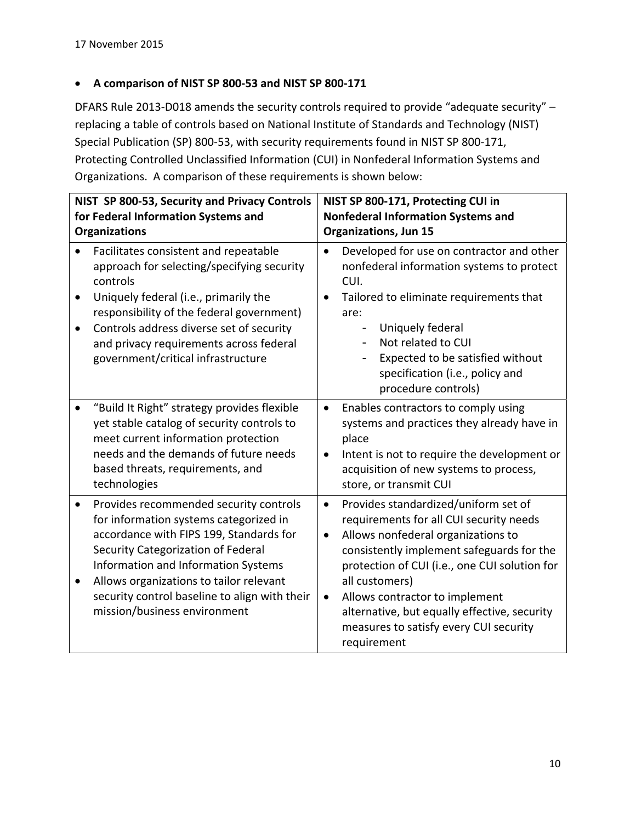#### **A comparison of NIST SP 800‐53 and NIST SP 800‐171**

DFARS Rule 2013-D018 amends the security controls required to provide "adequate security" – replacing a table of controls based on National Institute of Standards and Technology (NIST) Special Publication (SP) 800‐53, with security requirements found in NIST SP 800‐171, Protecting Controlled Unclassified Information (CUI) in Nonfederal Information Systems and Organizations. A comparison of these requirements is shown below:

| NIST SP 800-53, Security and Privacy Controls<br>for Federal Information Systems and<br><b>Organizations</b> |                                                                                                                                                                                                                                                                                                                                      | NIST SP 800-171, Protecting CUI in<br><b>Nonfederal Information Systems and</b><br><b>Organizations, Jun 15</b> |                                                                                                                                                                                                                                                                                                                                                                                  |
|--------------------------------------------------------------------------------------------------------------|--------------------------------------------------------------------------------------------------------------------------------------------------------------------------------------------------------------------------------------------------------------------------------------------------------------------------------------|-----------------------------------------------------------------------------------------------------------------|----------------------------------------------------------------------------------------------------------------------------------------------------------------------------------------------------------------------------------------------------------------------------------------------------------------------------------------------------------------------------------|
| $\bullet$                                                                                                    | Facilitates consistent and repeatable<br>approach for selecting/specifying security<br>controls<br>Uniquely federal (i.e., primarily the<br>responsibility of the federal government)                                                                                                                                                | $\bullet$                                                                                                       | Developed for use on contractor and other<br>nonfederal information systems to protect<br>CUI.<br>Tailored to eliminate requirements that<br>are:                                                                                                                                                                                                                                |
|                                                                                                              | Controls address diverse set of security<br>and privacy requirements across federal<br>government/critical infrastructure                                                                                                                                                                                                            |                                                                                                                 | Uniquely federal<br>$\qquad \qquad -$<br>Not related to CUI<br>Expected to be satisfied without<br>specification (i.e., policy and<br>procedure controls)                                                                                                                                                                                                                        |
|                                                                                                              | "Build It Right" strategy provides flexible<br>yet stable catalog of security controls to<br>meet current information protection<br>needs and the demands of future needs<br>based threats, requirements, and<br>technologies                                                                                                        | $\bullet$<br>$\bullet$                                                                                          | Enables contractors to comply using<br>systems and practices they already have in<br>place<br>Intent is not to require the development or<br>acquisition of new systems to process,<br>store, or transmit CUI                                                                                                                                                                    |
| $\bullet$                                                                                                    | Provides recommended security controls<br>for information systems categorized in<br>accordance with FIPS 199, Standards for<br>Security Categorization of Federal<br>Information and Information Systems<br>Allows organizations to tailor relevant<br>security control baseline to align with their<br>mission/business environment | $\bullet$<br>$\bullet$<br>$\bullet$                                                                             | Provides standardized/uniform set of<br>requirements for all CUI security needs<br>Allows nonfederal organizations to<br>consistently implement safeguards for the<br>protection of CUI (i.e., one CUI solution for<br>all customers)<br>Allows contractor to implement<br>alternative, but equally effective, security<br>measures to satisfy every CUI security<br>requirement |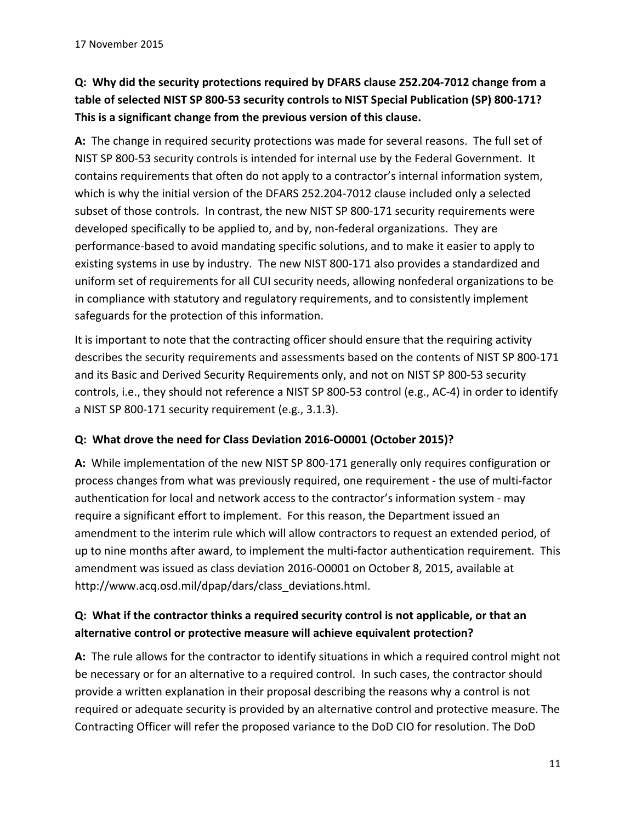# **Q: Why did the security protections required by DFARS clause 252.204‐7012 change from a** table of selected NIST SP 800-53 security controls to NIST Special Publication (SP) 800-171? **This is a significant change from the previous version of this clause.**

**A:** The change in required security protections was made for several reasons. The full set of NIST SP 800‐53 security controls is intended for internal use by the Federal Government. It contains requirements that often do not apply to a contractor's internal information system, which is why the initial version of the DFARS 252.204‐7012 clause included only a selected subset of those controls. In contrast, the new NIST SP 800-171 security requirements were developed specifically to be applied to, and by, non‐federal organizations. They are performance‐based to avoid mandating specific solutions, and to make it easier to apply to existing systems in use by industry. The new NIST 800‐171 also provides a standardized and uniform set of requirements for all CUI security needs, allowing nonfederal organizations to be in compliance with statutory and regulatory requirements, and to consistently implement safeguards for the protection of this information.

It is important to note that the contracting officer should ensure that the requiring activity describes the security requirements and assessments based on the contents of NIST SP 800‐171 and its Basic and Derived Security Requirements only, and not on NIST SP 800‐53 security controls, i.e., they should not reference a NIST SP 800‐53 control (e.g., AC‐4) in order to identify a NIST SP 800‐171 security requirement (e.g., 3.1.3).

#### **Q: What drove the need for Class Deviation 2016‐O0001 (October 2015)?**

**A:** While implementation of the new NIST SP 800‐171 generally only requires configuration or process changes from what was previously required, one requirement ‐ the use of multi‐factor authentication for local and network access to the contractor's information system ‐ may require a significant effort to implement. For this reason, the Department issued an amendment to the interim rule which will allow contractors to request an extended period, of up to nine months after award, to implement the multi‐factor authentication requirement. This amendment was issued as class deviation 2016‐O0001 on October 8, 2015, available at http://www.acq.osd.mil/dpap/dars/class\_deviations.html.

#### **Q: What if the contractor thinks a required security control is not applicable, or that an alternative control or protective measure will achieve equivalent protection?**

**A:** The rule allows for the contractor to identify situations in which a required control might not be necessary or for an alternative to a required control. In such cases, the contractor should provide a written explanation in their proposal describing the reasons why a control is not required or adequate security is provided by an alternative control and protective measure. The Contracting Officer will refer the proposed variance to the DoD CIO for resolution. The DoD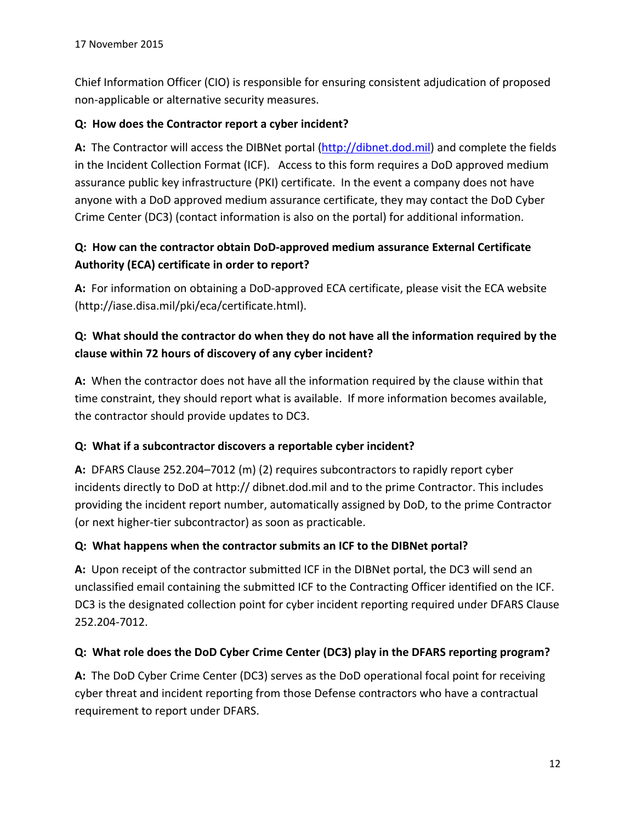Chief Information Officer (CIO) is responsible for ensuring consistent adjudication of proposed non‐applicable or alternative security measures.

#### **Q: How does the Contractor report a cyber incident?**

**A:** The Contractor will access the DIBNet portal (http://dibnet.dod.mil) and complete the fields in the Incident Collection Format (ICF). Access to this form requires a DoD approved medium assurance public key infrastructure (PKI) certificate. In the event a company does not have anyone with a DoD approved medium assurance certificate, they may contact the DoD Cyber Crime Center (DC3) (contact information is also on the portal) for additional information.

### **Q: How can the contractor obtain DoD‐approved medium assurance External Certificate Authority (ECA) certificate in order to report?**

**A:** For information on obtaining a DoD‐approved ECA certificate, please visit the ECA website (http://iase.disa.mil/pki/eca/certificate.html).

### **Q: What should the contractor do when they do not have all the information required by the clause within 72 hours of discovery of any cyber incident?**

**A:** When the contractor does not have all the information required by the clause within that time constraint, they should report what is available. If more information becomes available, the contractor should provide updates to DC3.

### **Q: What if a subcontractor discovers a reportable cyber incident?**

**A:** DFARS Clause 252.204–7012 (m) (2) requires subcontractors to rapidly report cyber incidents directly to DoD at http:// dibnet.dod.mil and to the prime Contractor. This includes providing the incident report number, automatically assigned by DoD, to the prime Contractor (or next higher‐tier subcontractor) as soon as practicable.

#### **Q: What happens when the contractor submits an ICF to the DIBNet portal?**

**A:** Upon receipt of the contractor submitted ICF in the DIBNet portal, the DC3 will send an unclassified email containing the submitted ICF to the Contracting Officer identified on the ICF. DC3 is the designated collection point for cyber incident reporting required under DFARS Clause 252.204‐7012.

#### **Q: What role does the DoD Cyber Crime Center (DC3) play in the DFARS reporting program?**

**A:** The DoD Cyber Crime Center (DC3) serves as the DoD operational focal point for receiving cyber threat and incident reporting from those Defense contractors who have a contractual requirement to report under DFARS.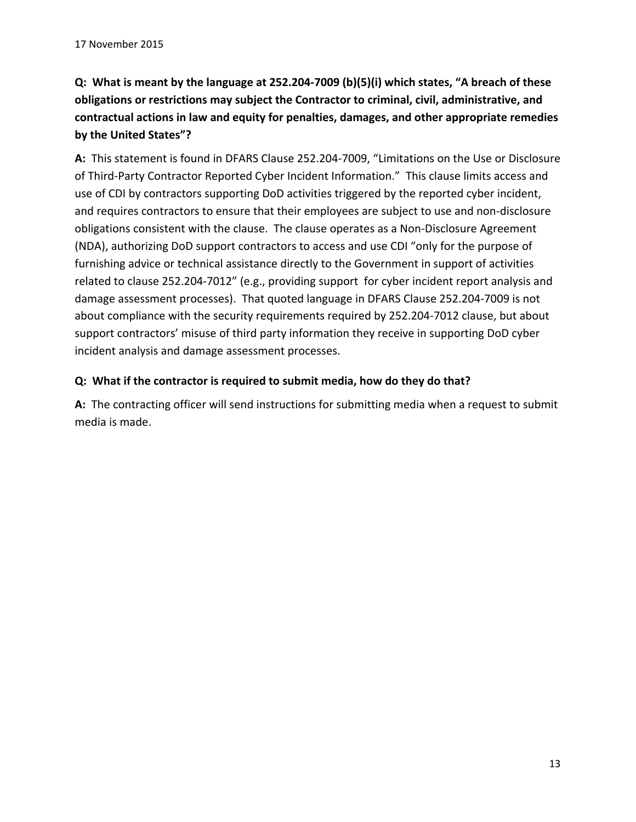Q: What is meant by the language at 252.204-7009 (b)(5)(i) which states, "A breach of these **obligations or restrictions may subject the Contractor to criminal, civil, administrative, and contractual actions in law and equity for penalties, damages, and other appropriate remedies by the United States"?** 

**A:** This statement is found in DFARS Clause 252.204‐7009, "Limitations on the Use or Disclosure of Third‐Party Contractor Reported Cyber Incident Information." This clause limits access and use of CDI by contractors supporting DoD activities triggered by the reported cyber incident, and requires contractors to ensure that their employees are subject to use and non‐disclosure obligations consistent with the clause. The clause operates as a Non‐Disclosure Agreement (NDA), authorizing DoD support contractors to access and use CDI "only for the purpose of furnishing advice or technical assistance directly to the Government in support of activities related to clause 252.204‐7012" (e.g., providing support for cyber incident report analysis and damage assessment processes). That quoted language in DFARS Clause 252.204‐7009 is not about compliance with the security requirements required by 252.204‐7012 clause, but about support contractors' misuse of third party information they receive in supporting DoD cyber incident analysis and damage assessment processes.

#### **Q: What if the contractor is required to submit media, how do they do that?**

**A:** The contracting officer will send instructions for submitting media when a request to submit media is made.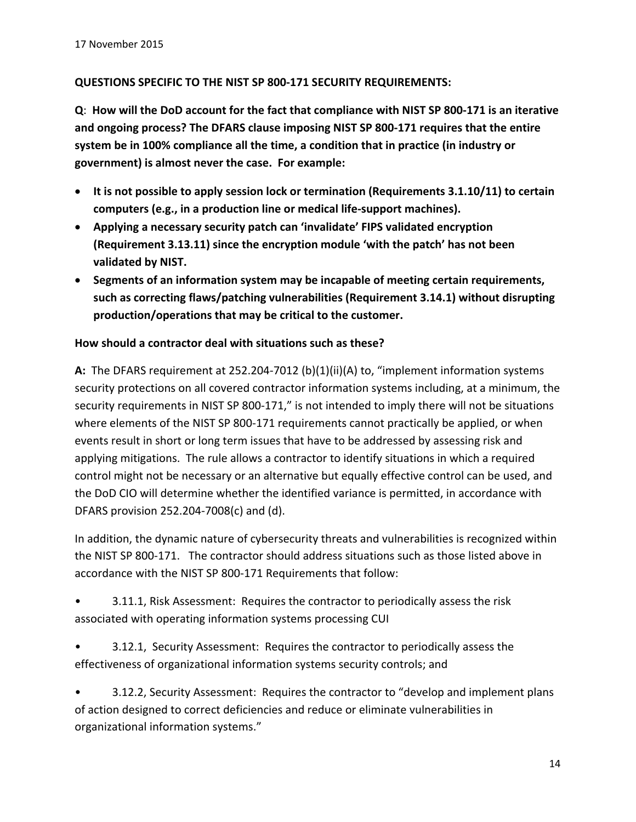#### **QUESTIONS SPECIFIC TO THE NIST SP 800‐171 SECURITY REQUIREMENTS:**

Q: How will the DoD account for the fact that compliance with NIST SP 800-171 is an iterative **and ongoing process? The DFARS clause imposing NIST SP 800‐171 requires that the entire system be in 100% compliance all the time, a condition that in practice (in industry or government) is almost never the case. For example:**

- **It is not possible to apply session lock or termination (Requirements 3.1.10/11) to certain computers (e.g., in a production line or medical life‐support machines).**
- **Applying a necessary security patch can 'invalidate' FIPS validated encryption (Requirement 3.13.11) since the encryption module 'with the patch' has not been validated by NIST.**
- **Segments of an information system may be incapable of meeting certain requirements, such as correcting flaws/patching vulnerabilities (Requirement 3.14.1) without disrupting production/operations that may be critical to the customer.**

#### **How should a contractor deal with situations such as these?**

**A:** The DFARS requirement at 252.204‐7012 (b)(1)(ii)(A) to, "implement information systems security protections on all covered contractor information systems including, at a minimum, the security requirements in NIST SP 800-171," is not intended to imply there will not be situations where elements of the NIST SP 800-171 requirements cannot practically be applied, or when events result in short or long term issues that have to be addressed by assessing risk and applying mitigations. The rule allows a contractor to identify situations in which a required control might not be necessary or an alternative but equally effective control can be used, and the DoD CIO will determine whether the identified variance is permitted, in accordance with DFARS provision 252.204‐7008(c) and (d).

In addition, the dynamic nature of cybersecurity threats and vulnerabilities is recognized within the NIST SP 800‐171. The contractor should address situations such as those listed above in accordance with the NIST SP 800‐171 Requirements that follow:

- 3.11.1, Risk Assessment: Requires the contractor to periodically assess the risk associated with operating information systems processing CUI
- 3.12.1, Security Assessment: Requires the contractor to periodically assess the effectiveness of organizational information systems security controls; and
- 3.12.2, Security Assessment: Requires the contractor to "develop and implement plans of action designed to correct deficiencies and reduce or eliminate vulnerabilities in organizational information systems."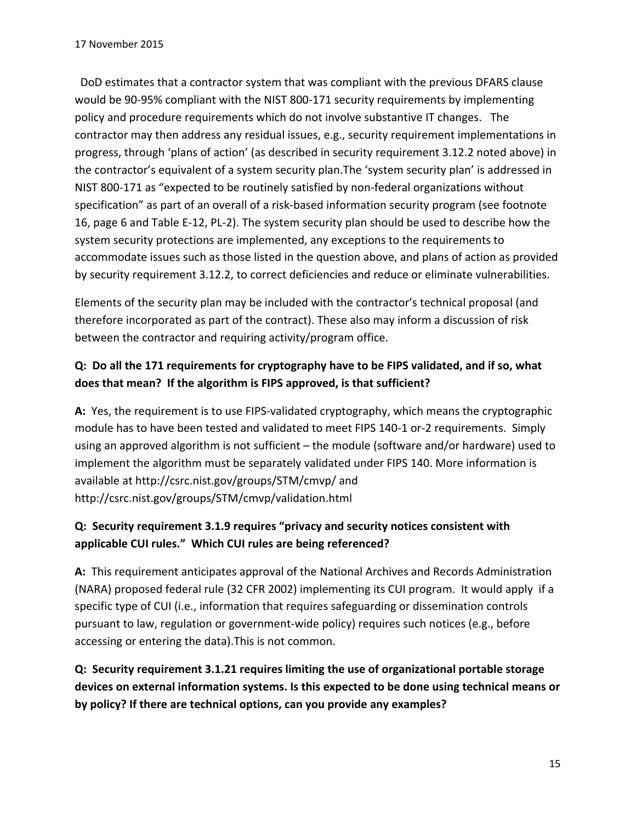DoD estimates that a contractor system that was compliant with the previous DFARS clause would be 90-95% compliant with the NIST 800-171 security requirements by implementing policy and procedure requirements which do not involve substantive IT changes. The contractor may then address any residual issues, e.g., security requirement implementations in progress, through 'plans of action' (as described in security requirement 3.12.2 noted above) in the contractor's equivalent of a system security plan.The 'system security plan' is addressed in NIST 800‐171 as "expected to be routinely satisfied by non‐federal organizations without specification" as part of an overall of a risk-based information security program (see footnote 16, page 6 and Table E‐12, PL‐2). The system security plan should be used to describe how the system security protections are implemented, any exceptions to the requirements to accommodate issues such as those listed in the question above, and plans of action as provided by security requirement 3.12.2, to correct deficiencies and reduce or eliminate vulnerabilities.

Elements of the security plan may be included with the contractor's technical proposal (and therefore incorporated as part of the contract). These also may inform a discussion of risk between the contractor and requiring activity/program office.

### **Q: Do all the 171 requirements for cryptography have to be FIPS validated, and if so, what does that mean? If the algorithm is FIPS approved, is that sufficient?**

**A:** Yes, the requirement is to use FIPS‐validated cryptography, which means the cryptographic module has to have been tested and validated to meet FIPS 140‐1 or‐2 requirements. Simply using an approved algorithm is not sufficient – the module (software and/or hardware) used to implement the algorithm must be separately validated under FIPS 140. More information is available at http://csrc.nist.gov/groups/STM/cmvp/ and http://csrc.nist.gov/groups/STM/cmvp/validation.html

# **Q: Security requirement 3.1.9 requires "privacy and security notices consistent with applicable CUI rules." Which CUI rules are being referenced?**

A: This requirement anticipates approval of the National Archives and Records Administration (NARA) proposed federal rule (32 CFR 2002) implementing its CUI program. It would apply if a specific type of CUI (i.e., information that requires safeguarding or dissemination controls pursuant to law, regulation or government‐wide policy) requires such notices (e.g., before accessing or entering the data).This is not common.

**Q: Security requirement 3.1.21 requires limiting the use of organizational portable storage devices on external information systems. Is this expected to be done using technical means or by policy? If there are technical options, can you provide any examples?**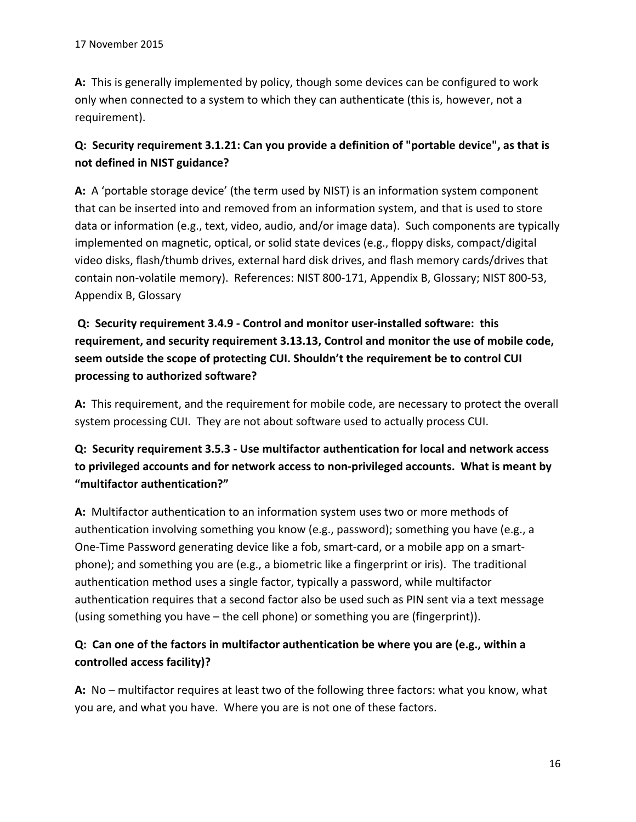**A:** This is generally implemented by policy, though some devices can be configured to work only when connected to a system to which they can authenticate (this is, however, not a requirement).

### **Q: Security requirement 3.1.21: Can you provide a definition of "portable device", as that is not defined in NIST guidance?**

A: A 'portable storage device' (the term used by NIST) is an information system component that can be inserted into and removed from an information system, and that is used to store data or information (e.g., text, video, audio, and/or image data). Such components are typically implemented on magnetic, optical, or solid state devices (e.g., floppy disks, compact/digital video disks, flash/thumb drives, external hard disk drives, and flash memory cards/drives that contain non‐volatile memory). References: NIST 800‐171, Appendix B, Glossary; NIST 800‐53, Appendix B, Glossary

# **Q: Security requirement 3.4.9 ‐ Control and monitor user‐installed software: this requirement, and security requirement 3.13.13, Control and monitor the use of mobile code, seem outside the scope of protecting CUI. Shouldn't the requirement be to control CUI processing to authorized software?**

**A:** This requirement, and the requirement for mobile code, are necessary to protect the overall system processing CUI. They are not about software used to actually process CUI.

# **Q: Security requirement 3.5.3 ‐ Use multifactor authentication for local and network access to privileged accounts and for network access to non‐privileged accounts. What is meant by "multifactor authentication?"**

**A:** Multifactor authentication to an information system uses two or more methods of authentication involving something you know (e.g., password); something you have (e.g., a One‐Time Password generating device like a fob, smart‐card, or a mobile app on a smart‐ phone); and something you are (e.g., a biometric like a fingerprint or iris). The traditional authentication method uses a single factor, typically a password, while multifactor authentication requires that a second factor also be used such as PIN sent via a text message (using something you have – the cell phone) or something you are (fingerprint)).

# **Q: Can one of the factors in multifactor authentication be where you are (e.g., within a controlled access facility)?**

A: No – multifactor requires at least two of the following three factors: what you know, what you are, and what you have. Where you are is not one of these factors.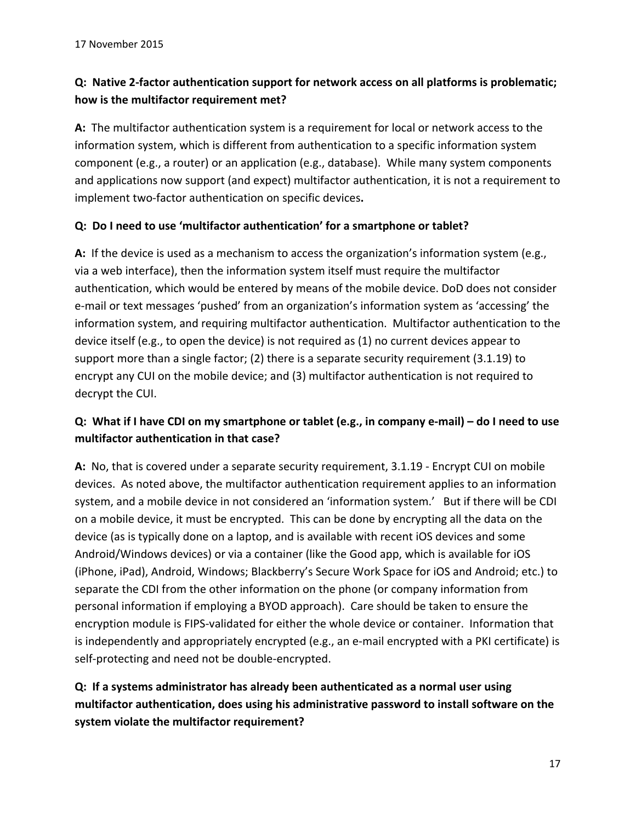# **Q: Native 2‐factor authentication support for network access on all platforms is problematic; how is the multifactor requirement met?**

**A:** The multifactor authentication system is a requirement for local or network access to the information system, which is different from authentication to a specific information system component (e.g., a router) or an application (e.g., database). While many system components and applications now support (and expect) multifactor authentication, it is not a requirement to implement two‐factor authentication on specific devices**.**

#### **Q: Do I need to use 'multifactor authentication' for a smartphone or tablet?**

**A:** If the device is used as a mechanism to access the organization's information system (e.g., via a web interface), then the information system itself must require the multifactor authentication, which would be entered by means of the mobile device. DoD does not consider e‐mail or text messages 'pushed' from an organization's information system as 'accessing' the information system, and requiring multifactor authentication. Multifactor authentication to the device itself (e.g., to open the device) is not required as (1) no current devices appear to support more than a single factor; (2) there is a separate security requirement (3.1.19) to encrypt any CUI on the mobile device; and (3) multifactor authentication is not required to decrypt the CUI.

### Q: What if I have CDI on my smartphone or tablet (e.g., in company e-mail) – do I need to use **multifactor authentication in that case?**

**A:** No, that is covered under a separate security requirement, 3.1.19 ‐ Encrypt CUI on mobile devices. As noted above, the multifactor authentication requirement applies to an information system, and a mobile device in not considered an 'information system.' But if there will be CDI on a mobile device, it must be encrypted. This can be done by encrypting all the data on the device (as is typically done on a laptop, and is available with recent iOS devices and some Android/Windows devices) or via a container (like the Good app, which is available for iOS (iPhone, iPad), Android, Windows; Blackberry's Secure Work Space for iOS and Android; etc.) to separate the CDI from the other information on the phone (or company information from personal information if employing a BYOD approach). Care should be taken to ensure the encryption module is FIPS‐validated for either the whole device or container. Information that is independently and appropriately encrypted (e.g., an e-mail encrypted with a PKI certificate) is self-protecting and need not be double-encrypted.

# **Q: If a systems administrator has already been authenticated as a normal user using multifactor authentication, does using his administrative password to install software on the system violate the multifactor requirement?**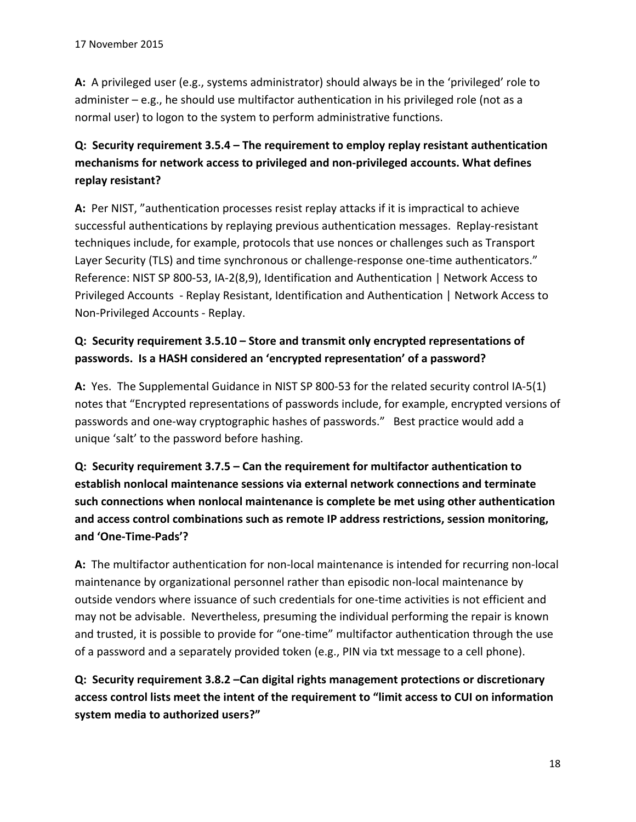**A:** A privileged user (e.g., systems administrator) should always be in the 'privileged' role to administer – e.g., he should use multifactor authentication in his privileged role (not as a normal user) to logon to the system to perform administrative functions.

# **Q: Security requirement 3.5.4 – The requirement to employ replay resistant authentication mechanisms for network access to privileged and non‐privileged accounts. What defines replay resistant?**

**A:** Per NIST, "authentication processes resist replay attacks if it is impractical to achieve successful authentications by replaying previous authentication messages. Replay‐resistant techniques include, for example, protocols that use nonces or challenges such as Transport Layer Security (TLS) and time synchronous or challenge-response one-time authenticators." Reference: NIST SP 800‐53, IA‐2(8,9), Identification and Authentication | Network Access to Privileged Accounts ‐ Replay Resistant, Identification and Authentication | Network Access to Non‐Privileged Accounts ‐ Replay.

# **Q: Security requirement 3.5.10 – Store and transmit only encrypted representations of passwords. Is a HASH considered an 'encrypted representation' of a password?**

**A:** Yes. The Supplemental Guidance in NIST SP 800‐53 for the related security control IA‐5(1) notes that "Encrypted representations of passwords include, for example, encrypted versions of passwords and one‐way cryptographic hashes of passwords." Best practice would add a unique 'salt' to the password before hashing.

**Q: Security requirement 3.7.5 – Can the requirement for multifactor authentication to establish nonlocal maintenance sessions via external network connections and terminate such connections when nonlocal maintenance is complete be met using other authentication and access control combinations such as remote IP address restrictions, session monitoring, and 'One‐Time‐Pads'?**

**A:** The multifactor authentication for non‐local maintenance is intended for recurring non‐local maintenance by organizational personnel rather than episodic non‐local maintenance by outside vendors where issuance of such credentials for one‐time activities is not efficient and may not be advisable. Nevertheless, presuming the individual performing the repair is known and trusted, it is possible to provide for "one-time" multifactor authentication through the use of a password and a separately provided token (e.g., PIN via txt message to a cell phone).

**Q: Security requirement 3.8.2 –Can digital rights management protections or discretionary access control lists meet the intent of the requirement to "limit access to CUI on information system media to authorized users?"**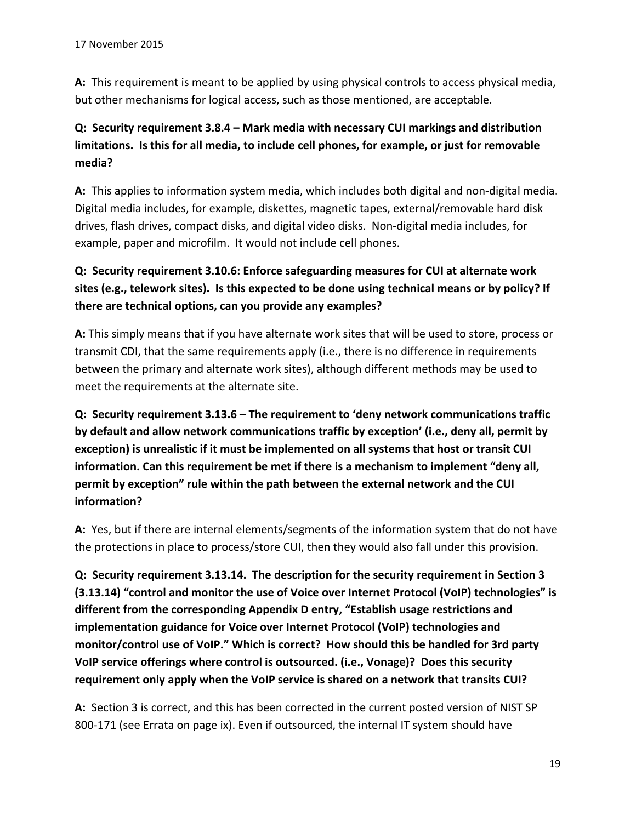**A:** This requirement is meant to be applied by using physical controls to access physical media, but other mechanisms for logical access, such as those mentioned, are acceptable.

# **Q: Security requirement 3.8.4 – Mark media with necessary CUI markings and distribution limitations. Is this for all media, to include cell phones, for example, or just for removable media?**

**A:** This applies to information system media, which includes both digital and non‐digital media. Digital media includes, for example, diskettes, magnetic tapes, external/removable hard disk drives, flash drives, compact disks, and digital video disks. Non‐digital media includes, for example, paper and microfilm. It would not include cell phones.

# **Q: Security requirement 3.10.6: Enforce safeguarding measures for CUI at alternate work sites (e.g., telework sites). Is this expected to be done using technical means or by policy? If there are technical options, can you provide any examples?**

**A:** This simply means that if you have alternate work sites that will be used to store, process or transmit CDI, that the same requirements apply (i.e., there is no difference in requirements between the primary and alternate work sites), although different methods may be used to meet the requirements at the alternate site.

**Q: Security requirement 3.13.6 – The requirement to 'deny network communications traffic by default and allow network communications traffic by exception' (i.e., deny all, permit by exception) is unrealistic if it must be implemented on all systems that host or transit CUI information. Can this requirement be met if there is a mechanism to implement "deny all, permit by exception" rule within the path between the external network and the CUI information?**

**A:** Yes, but if there are internal elements/segments of the information system that do not have the protections in place to process/store CUI, then they would also fall under this provision.

**Q: Security requirement 3.13.14. The description for the security requirement in Section 3 (3.13.14) "control and monitor the use of Voice over Internet Protocol (VoIP) technologies" is different from the corresponding Appendix D entry, "Establish usage restrictions and implementation guidance for Voice over Internet Protocol (VoIP) technologies and monitor/control use of VoIP." Which is correct? How should this be handled for 3rd party VoIP service offerings where control is outsourced. (i.e., Vonage)? Does this security requirement only apply when the VoIP service is shared on a network that transits CUI?** 

A: Section 3 is correct, and this has been corrected in the current posted version of NIST SP 800-171 (see Errata on page ix). Even if outsourced, the internal IT system should have